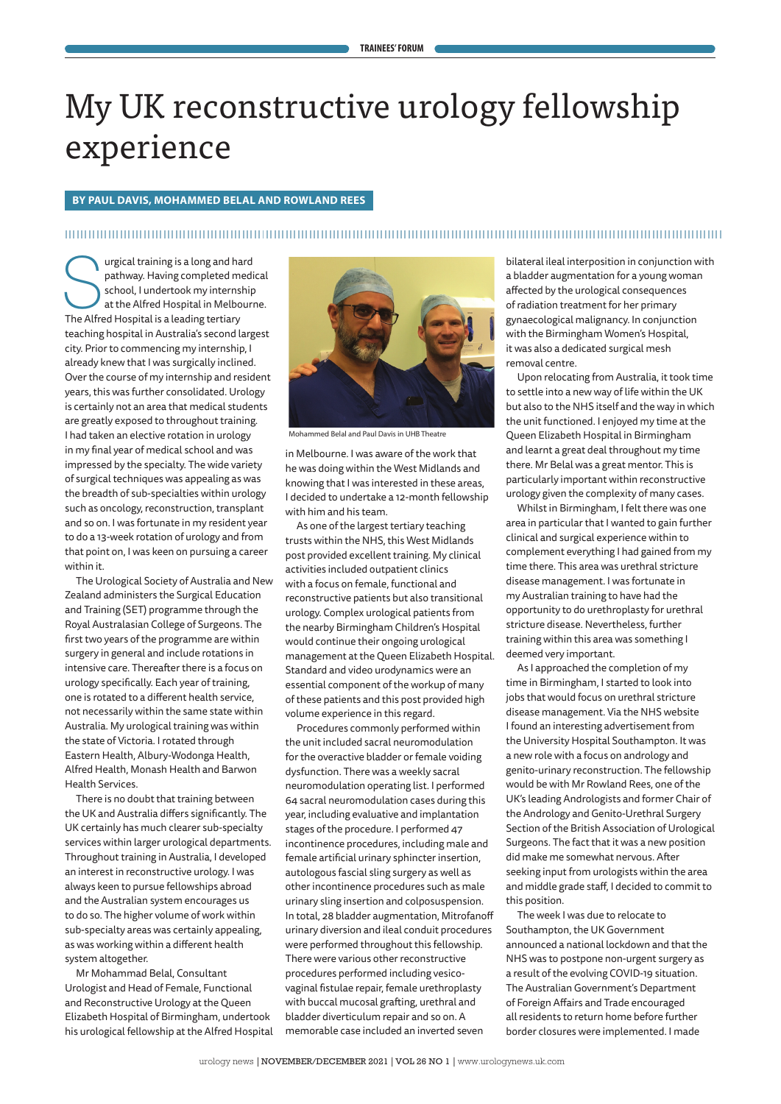# My UK reconstructive urology fellowship experience

### **BY PAUL DAVIS, MOHAMMED BELAL AND ROWLAND REES**

### 

In the pathway. Having completed mediated pathway. Having completed mediated school, I undertook my internship<br>at the Alfred Hospital in Melbourn<br>The Alfred Hospital is a leading tertiary pathway. Having completed medical school, I undertook my internship at the Alfred Hospital in Melbourne. teaching hospital in Australia's second largest city. Prior to commencing my internship, I already knew that I was surgically inclined. Over the course of my internship and resident years, this was further consolidated. Urology is certainly not an area that medical students are greatly exposed to throughout training. I had taken an elective rotation in urology in my final year of medical school and was impressed by the specialty. The wide variety of surgical techniques was appealing as was the breadth of sub-specialties within urology such as oncology, reconstruction, transplant and so on. I was fortunate in my resident year to do a 13-week rotation of urology and from that point on, I was keen on pursuing a career within it.

The Urological Society of Australia and New Zealand administers the Surgical Education and Training (SET) programme through the Royal Australasian College of Surgeons. The first two years of the programme are within surgery in general and include rotations in intensive care. Thereafter there is a focus on urology specifically. Each year of training, one is rotated to a different health service, not necessarily within the same state within Australia. My urological training was within the state of Victoria. I rotated through Eastern Health, Albury-Wodonga Health, Alfred Health, Monash Health and Barwon Health Services.

There is no doubt that training between the UK and Australia differs significantly. The UK certainly has much clearer sub-specialty services within larger urological departments. Throughout training in Australia, I developed an interest in reconstructive urology. I was always keen to pursue fellowships abroad and the Australian system encourages us to do so. The higher volume of work within sub-specialty areas was certainly appealing, as was working within a different health system altogether.

Mr Mohammad Belal, Consultant Urologist and Head of Female, Functional and Reconstructive Urology at the Queen Elizabeth Hospital of Birmingham, undertook his urological fellowship at the Alfred Hospital



Mohammed Belal and Paul Davis in UHB Theatre

in Melbourne. I was aware of the work that he was doing within the West Midlands and knowing that I was interested in these areas, I decided to undertake a 12-month fellowship with him and his team.

As one of the largest tertiary teaching trusts within the NHS, this West Midlands post provided excellent training. My clinical activities included outpatient clinics with a focus on female, functional and reconstructive patients but also transitional urology. Complex urological patients from the nearby Birmingham Children's Hospital would continue their ongoing urological management at the Queen Elizabeth Hospital. Standard and video urodynamics were an essential component of the workup of many of these patients and this post provided high volume experience in this regard.

Procedures commonly performed within the unit included sacral neuromodulation for the overactive bladder or female voiding dysfunction. There was a weekly sacral neuromodulation operating list. I performed 64 sacral neuromodulation cases during this year, including evaluative and implantation stages of the procedure. I performed 47 incontinence procedures, including male and female artificial urinary sphincter insertion, autologous fascial sling surgery as well as other incontinence procedures such as male urinary sling insertion and colposuspension. In total, 28 bladder augmentation, Mitrofanoff urinary diversion and ileal conduit procedures were performed throughout this fellowship. There were various other reconstructive procedures performed including vesicovaginal fistulae repair, female urethroplasty with buccal mucosal grafting, urethral and bladder diverticulum repair and so on. A memorable case included an inverted seven

bilateral ileal interposition in conjunction with a bladder augmentation for a young woman affected by the urological consequences of radiation treatment for her primary gynaecological malignancy. In conjunction with the Birmingham Women's Hospital, it was also a dedicated surgical mesh removal centre.

Upon relocating from Australia, it took time to settle into a new way of life within the UK but also to the NHS itself and the way in which the unit functioned. I enjoyed my time at the Queen Elizabeth Hospital in Birmingham and learnt a great deal throughout my time there. Mr Belal was a great mentor. This is particularly important within reconstructive urology given the complexity of many cases.

Whilst in Birmingham, I felt there was one area in particular that I wanted to gain further clinical and surgical experience within to complement everything I had gained from my time there. This area was urethral stricture disease management. I was fortunate in my Australian training to have had the opportunity to do urethroplasty for urethral stricture disease. Nevertheless, further training within this area was something I deemed very important.

As I approached the completion of my time in Birmingham, I started to look into jobs that would focus on urethral stricture disease management. Via the NHS website I found an interesting advertisement from the University Hospital Southampton. It was a new role with a focus on andrology and genito-urinary reconstruction. The fellowship would be with Mr Rowland Rees, one of the UK's leading Andrologists and former Chair of the Andrology and Genito-Urethral Surgery Section of the British Association of Urological Surgeons. The fact that it was a new position did make me somewhat nervous. After seeking input from urologists within the area and middle grade staff, I decided to commit to this position.

The week I was due to relocate to Southampton, the UK Government announced a national lockdown and that the NHS was to postpone non-urgent surgery as a result of the evolving COVID-19 situation. The Australian Government's Department of Foreign Affairs and Trade encouraged all residents to return home before further border closures were implemented. I made